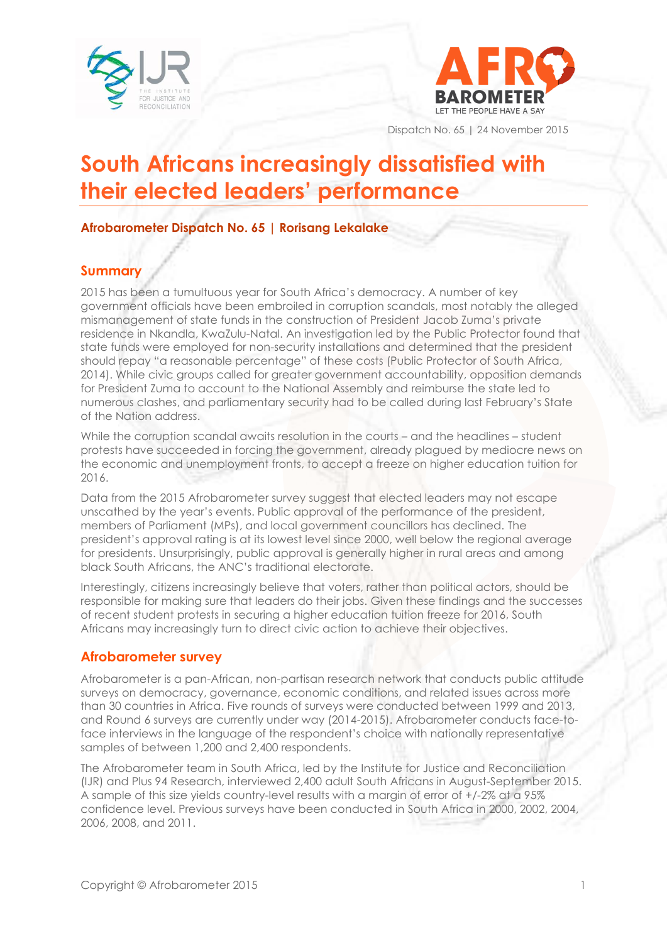



Dispatch No. 65 | 24 November 2015

# **South Africans increasingly dissatisfied with their elected leaders' performance**

### **Afrobarometer Dispatch No. 65 | Rorisang Lekalake**

# **Summary**

2015 has been a tumultuous year for South Africa's democracy. A number of key government officials have been embroiled in corruption scandals, most notably the alleged mismanagement of state funds in the construction of President Jacob Zuma's private residence in Nkandla, KwaZulu-Natal. An investigation led by the Public Protector found that state funds were employed for non-security installations and determined that the president should repay "a reasonable percentage" of these costs (Public Protector of South Africa, 2014). While civic groups called for greater government accountability, opposition demands for President Zuma to account to the National Assembly and reimburse the state led to numerous clashes, and parliamentary security had to be called during last February's State of the Nation address.

While the corruption scandal awaits resolution in the courts – and the headlines – student protests have succeeded in forcing the government, already plagued by mediocre news on the economic and unemployment fronts, to accept a freeze on higher education tuition for 2016.

Data from the 2015 Afrobarometer survey suggest that elected leaders may not escape unscathed by the year's events. Public approval of the performance of the president, members of Parliament (MPs), and local government councillors has declined. The president's approval rating is at its lowest level since 2000, well below the regional average for presidents. Unsurprisingly, public approval is generally higher in rural areas and among black South Africans, the ANC's traditional electorate.

Interestingly, citizens increasingly believe that voters, rather than political actors, should be responsible for making sure that leaders do their jobs. Given these findings and the successes of recent student protests in securing a higher education tuition freeze for 2016, South Africans may increasingly turn to direct civic action to achieve their objectives.

## **Afrobarometer survey**

Afrobarometer is a pan-African, non-partisan research network that conducts public attitude surveys on democracy, governance, economic conditions, and related issues across more than 30 countries in Africa. Five rounds of surveys were conducted between 1999 and 2013, and Round 6 surveys are currently under way (2014-2015). Afrobarometer conducts face-toface interviews in the language of the respondent's choice with nationally representative samples of between 1,200 and 2,400 respondents.

The Afrobarometer team in South Africa, led by the Institute for Justice and Reconciliation (IJR) and Plus 94 Research, interviewed 2,400 adult South Africans in August-September 2015. A sample of this size yields country-level results with a margin of error of +/-2% at a 95% confidence level. Previous surveys have been conducted in South Africa in 2000, 2002, 2004, 2006, 2008, and 2011.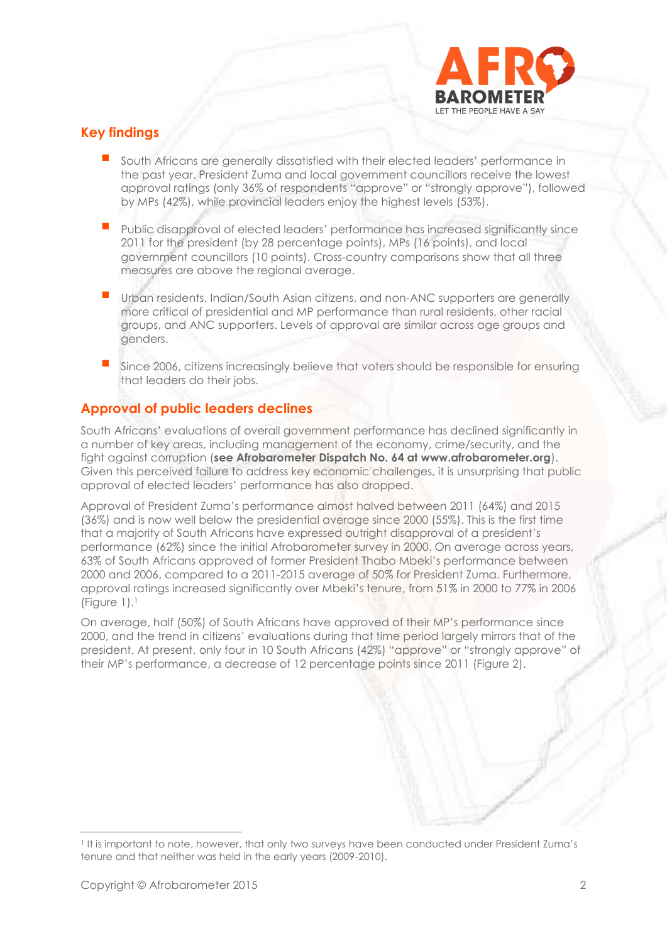

# **Key findings**

- South Africans are generally dissatisfied with their elected leaders' performance in the past year. President Zuma and local government councillors receive the lowest approval ratings (only 36% of respondents "approve" or "strongly approve"), followed by MPs (42%), while provincial leaders enjoy the highest levels (53%).
- Public disapproval of elected leaders' performance has increased significantly since 2011 for the president (by 28 percentage points), MPs (16 points), and local government councillors (10 points). Cross-country comparisons show that all three measures are above the regional average.
- Urban residents, Indian/South Asian citizens, and non-ANC supporters are generally more critical of presidential and MP performance than rural residents, other racial groups, and ANC supporters. Levels of approval are similar across age groups and genders.
- Since 2006, citizens increasingly believe that voters should be responsible for ensuring that leaders do their jobs.

# **Approval of public leaders declines**

South Africans' evaluations of overall government performance has declined significantly in a number of key areas, including management of the economy, crime/security, and the fight against corruption (**see Afrobarometer Dispatch No. 64 at www.afrobarometer.org**). Given this perceived failure to address key economic challenges, it is unsurprising that public approval of elected leaders' performance has also dropped.

Approval of President Zuma's performance almost halved between 2011 (64%) and 2015 (36%) and is now well below the presidential average since 2000 (55%). This is the first time that a majority of South Africans have expressed outright disapproval of a president's performance (62%) since the initial Afrobarometer survey in 2000. On average across years, 63% of South Africans approved of former President Thabo Mbeki's performance between 2000 and 2006, compared to a 2011-2015 average of 50% for President Zuma. Furthermore, approval ratings increased significantly over Mbeki's tenure, from 51% in 2000 to 77% in 2006 (Figure 1). 1

On average, half (50%) of South Africans have approved of their MP's performance since 2000, and the trend in citizens' evaluations during that time period largely mirrors that of the president. At present, only four in 10 South Africans (42%) "approve" or "strongly approve" of their MP's performance, a decrease of 12 percentage points since 2011 (Figure 2).

<sup>1</sup> It is important to note, however, that only two surveys have been conducted under President Zuma's tenure and that neither was held in the early years (2009-2010).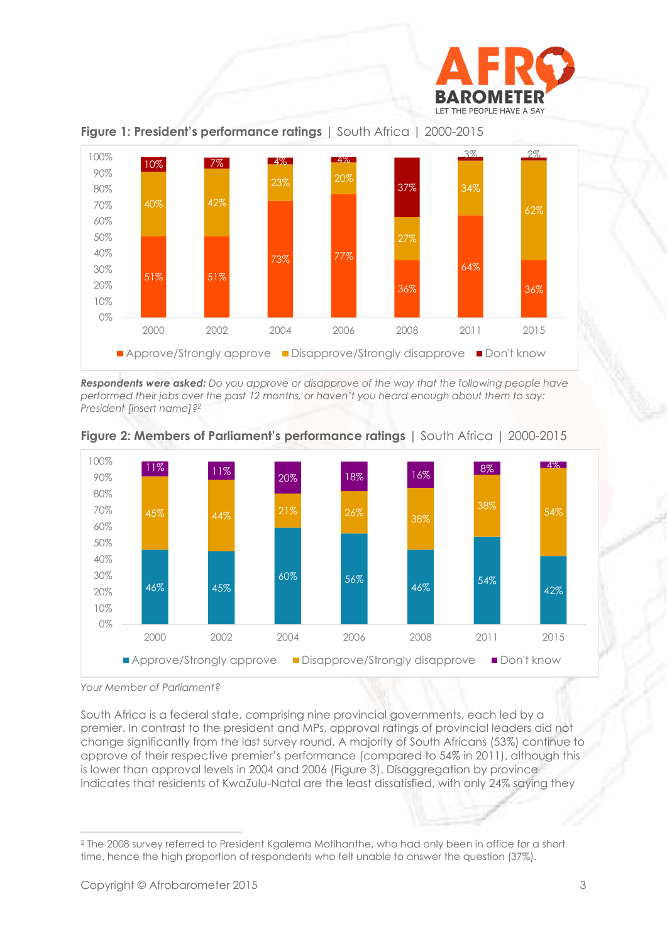



**Figure 1: President's performance ratings** | South Africa | 2000-2015

*Respondents were asked: Do you approve or disapprove of the way that the following people have performed their jobs over the past 12 months, or haven't you heard enough about them to say: President [insert name]?<sup>2</sup>*





South Africa is a federal state, comprising nine provincial governments, each led by a premier. In contrast to the president and MPs, approval ratings of provincial leaders did not change significantly from the last survey round. A majority of South Africans (53%) continue to approve of their respective premier's performance (compared to 54% in 2011), although this is lower than approval levels in 2004 and 2006 (Figure 3). Disaggregation by province indicates that residents of KwaZulu-Natal are the least dissatisfied, with only 24% saying they

*Your Member of Parliament?*

 <sup>2</sup> The 2008 survey referred to President Kgalema Motlhanthe, who had only been in office for a short time, hence the high proportion of respondents who felt unable to answer the question (37%).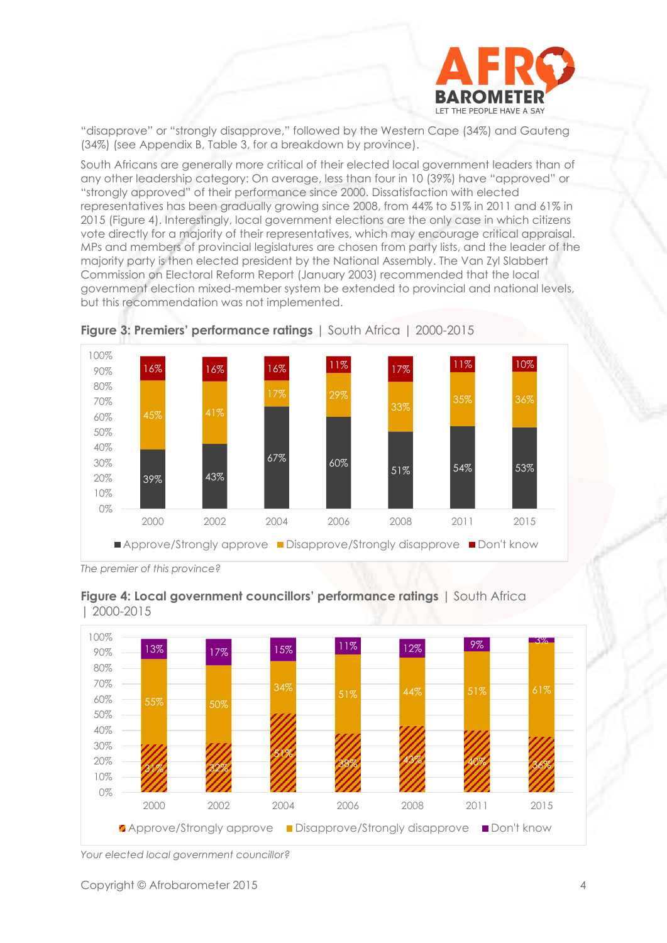

"disapprove" or "strongly disapprove," followed by the Western Cape (34%) and Gauteng (34%) (see Appendix B, Table 3, for a breakdown by province).

South Africans are generally more critical of their elected local government leaders than of any other leadership category: On average, less than four in 10 (39%) have "approved" or "strongly approved" of their performance since 2000. Dissatisfaction with elected representatives has been gradually growing since 2008, from 44% to 51% in 2011 and 61% in 2015 (Figure 4). Interestingly, local government elections are the only case in which citizens vote directly for a majority of their representatives, which may encourage critical appraisal. MPs and members of provincial legislatures are chosen from party lists, and the leader of the majority party is then elected president by the National Assembly. The Van Zyl Slabbert Commission on Electoral Reform Report (January 2003) recommended that the local government election mixed-member system be extended to provincial and national levels, but this recommendation was not implemented.





*The premier of this province?*





*Your elected local government councillor?*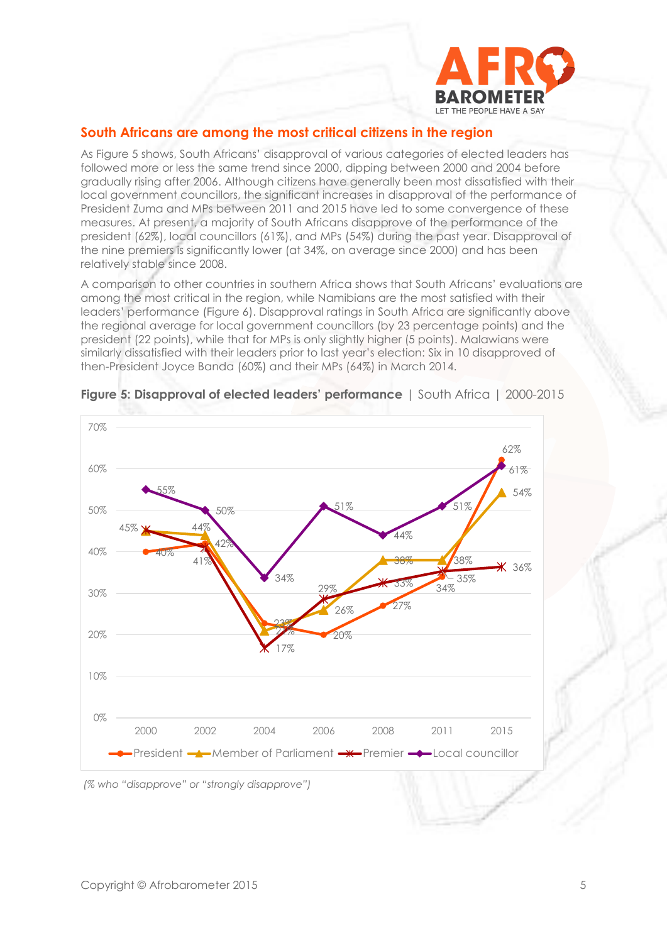

### **South Africans are among the most critical citizens in the region**

As Figure 5 shows, South Africans' disapproval of various categories of elected leaders has followed more or less the same trend since 2000, dipping between 2000 and 2004 before gradually rising after 2006. Although citizens have generally been most dissatisfied with their local government councillors, the significant increases in disapproval of the performance of President Zuma and MPs between 2011 and 2015 have led to some convergence of these measures. At present, a majority of South Africans disapprove of the performance of the president (62%), local councillors (61%), and MPs (54%) during the past year. Disapproval of the nine premiers is significantly lower (at 34%, on average since 2000) and has been relatively stable since 2008.

A comparison to other countries in southern Africa shows that South Africans' evaluations are among the most critical in the region, while Namibians are the most satisfied with their leaders' performance (Figure 6). Disapproval ratings in South Africa are significantly above the regional average for local government councillors (by 23 percentage points) and the president (22 points), while that for MPs is only slightly higher (5 points). Malawians were similarly dissatisfied with their leaders prior to last year's election: Six in 10 disapproved of then-President Joyce Banda (60%) and their MPs (64%) in March 2014.



#### **Figure 5: Disapproval of elected leaders' performance** | South Africa | 2000-2015

*(% who "disapprove" or "strongly disapprove")*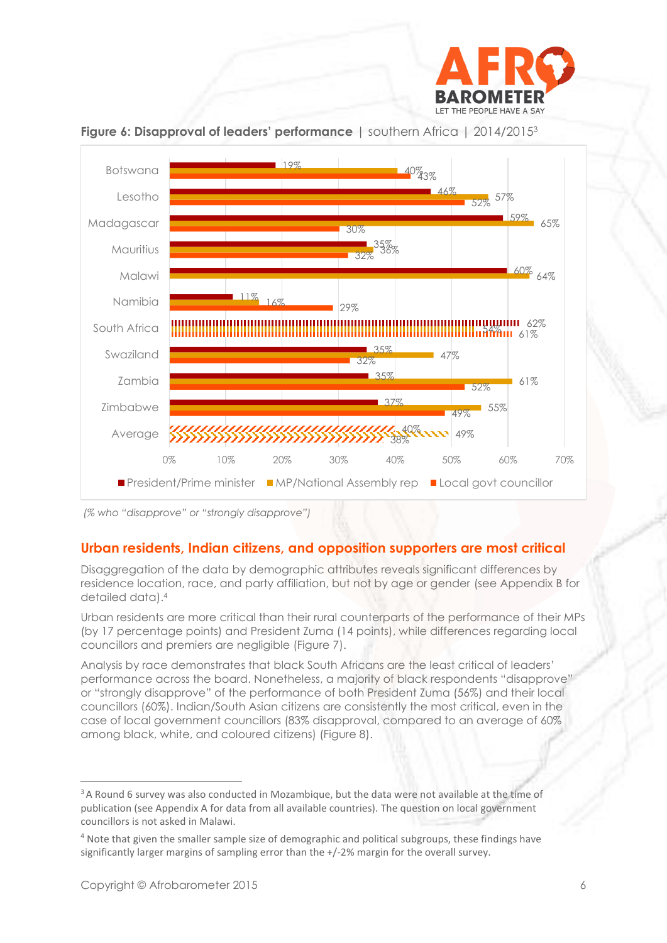



**Figure 6: Disapproval of leaders' performance** | southern Africa | 2014/2015<sup>3</sup>

## **Urban residents, Indian citizens, and opposition supporters are most critical**

Disaggregation of the data by demographic attributes reveals significant differences by residence location, race, and party affiliation, but not by age or gender (see Appendix B for detailed data). 4

Urban residents are more critical than their rural counterparts of the performance of their MPs (by 17 percentage points) and President Zuma (14 points), while differences regarding local councillors and premiers are negligible (Figure 7).

Analysis by race demonstrates that black South Africans are the least critical of leaders' performance across the board. Nonetheless, a majority of black respondents "disapprove" or "strongly disapprove" of the performance of both President Zuma (56%) and their local councillors (60%). Indian/South Asian citizens are consistently the most critical, even in the case of local government councillors (83% disapproval, compared to an average of 60% among black, white, and coloured citizens) (Figure 8).

*<sup>(%</sup> who "disapprove" or "strongly disapprove")*

<sup>&</sup>lt;sup>3</sup> A Round 6 survey was also conducted in Mozambique, but the data were not available at the time of publication (see Appendix A for data from all available countries). The question on local government councillors is not asked in Malawi.

<sup>4</sup> Note that given the smaller sample size of demographic and political subgroups, these findings have significantly larger margins of sampling error than the +/-2% margin for the overall survey.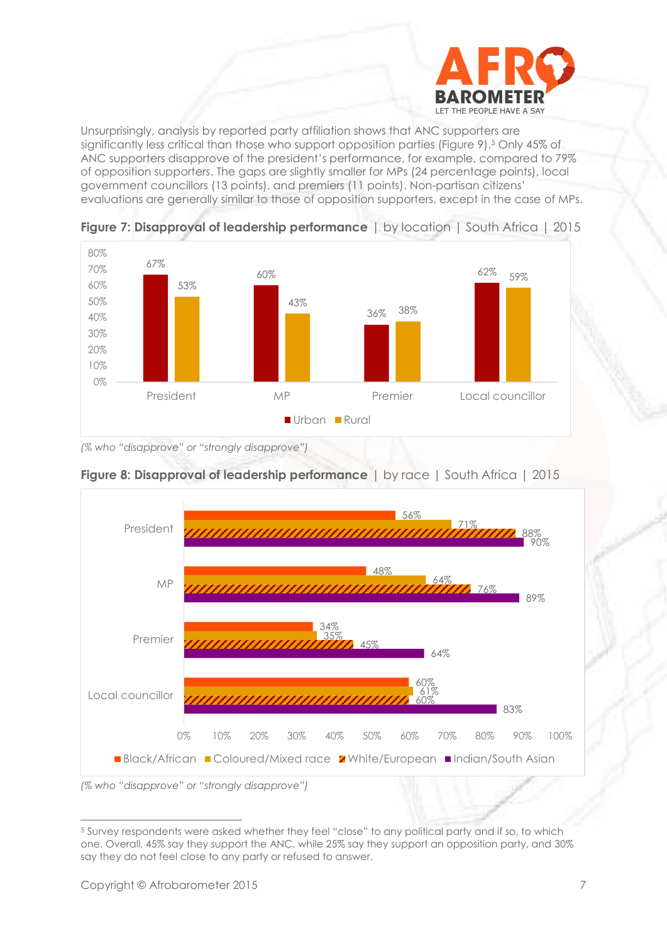

Unsurprisingly, analysis by reported party affiliation shows that ANC supporters are significantly less critical than those who support opposition parties (Figure 9). <sup>5</sup> Only 45% of ANC supporters disapprove of the president's performance, for example, compared to 79% of opposition supporters. The gaps are slightly smaller for MPs (24 percentage points), local government councillors (13 points), and premiers (11 points). Non-partisan citizens' evaluations are generally similar to those of opposition supporters, except in the case of MPs.



**Figure 7: Disapproval of leadership performance** | by location | South Africa | 2015

*(% who "disapprove" or "strongly disapprove")*



**Figure 8: Disapproval of leadership performance** | by race | South Africa | 2015

*(% who "disapprove" or "strongly disapprove")*

 <sup>5</sup> Survey respondents were asked whether they feel "close" to any political party and if so, to which one. Overall, 45% say they support the ANC, while 25% say they support an opposition party, and 30% say they do not feel close to any party or refused to answer.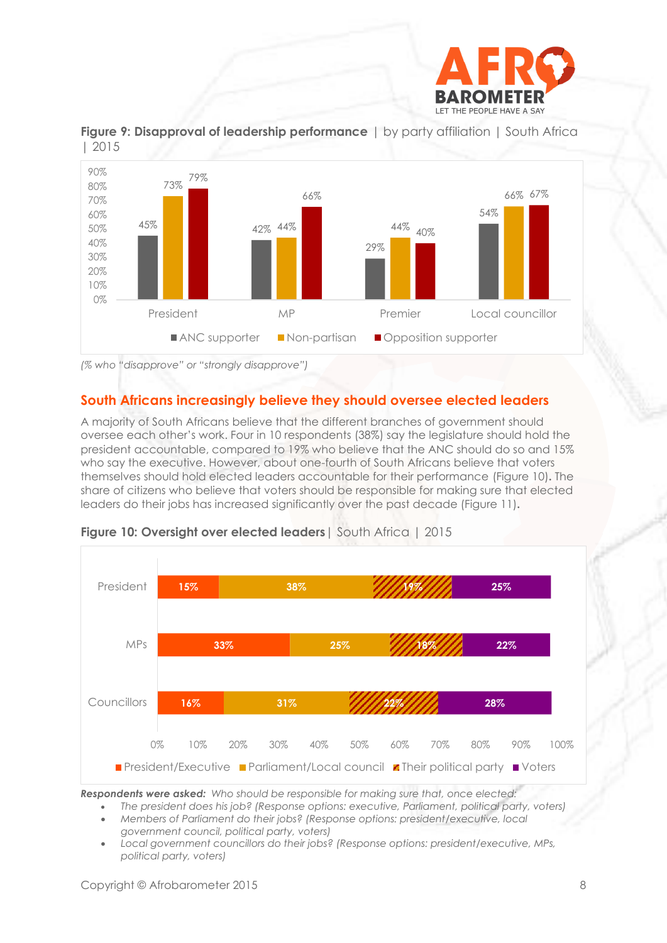



**Figure 9: Disapproval of leadership performance** | by party affiliation | South Africa | 2015

*(% who "disapprove" or "strongly disapprove")*

# **South Africans increasingly believe they should oversee elected leaders**

A majority of South Africans believe that the different branches of government should oversee each other's work. Four in 10 respondents (38%) say the legislature should hold the president accountable, compared to 19% who believe that the ANC should do so and 15% who say the executive. However, about one-fourth of South Africans believe that voters themselves should hold elected leaders accountable for their performance (Figure 10)**.** The share of citizens who believe that voters should be responsible for making sure that elected leaders do their jobs has increased significantly over the past decade (Figure 11)**.**



#### **Figure 10: Oversight over elected leaders**| South Africa | 2015

*Respondents were asked: Who should be responsible for making sure that, once elected:*

 *The president does his job? (Response options: executive, Parliament, political party, voters) Members of Parliament do their jobs? (Response options: president/executive, local* 

*government council, political party, voters)*

 *Local government councillors do their jobs? (Response options: president/executive, MPs, political party, voters)*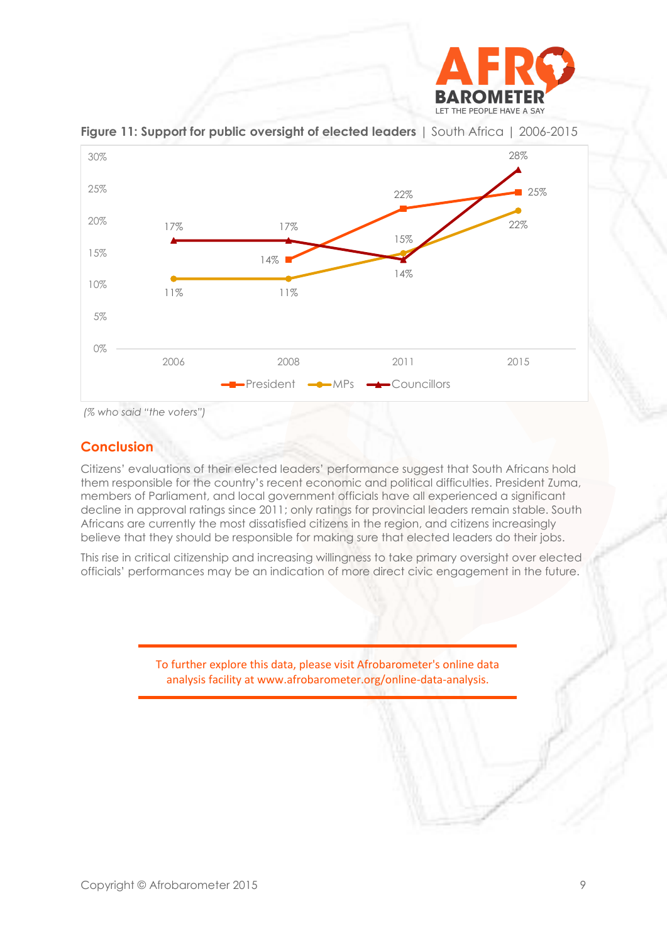



**Figure 11: Support for public oversight of elected leaders** | South Africa | 2006-2015

*(% who said "the voters")*

### **Conclusion**

Citizens' evaluations of their elected leaders' performance suggest that South Africans hold them responsible for the country's recent economic and political difficulties. President Zuma, members of Parliament, and local government officials have all experienced a significant decline in approval ratings since 2011; only ratings for provincial leaders remain stable. South Africans are currently the most dissatisfied citizens in the region, and citizens increasingly believe that they should be responsible for making sure that elected leaders do their jobs.

This rise in critical citizenship and increasing willingness to take primary oversight over elected officials' performances may be an indication of more direct civic engagement in the future.

> To further explore this data, please visit Afrobarometer's online data analysis facility at www.afrobarometer.org/online-data-analysis.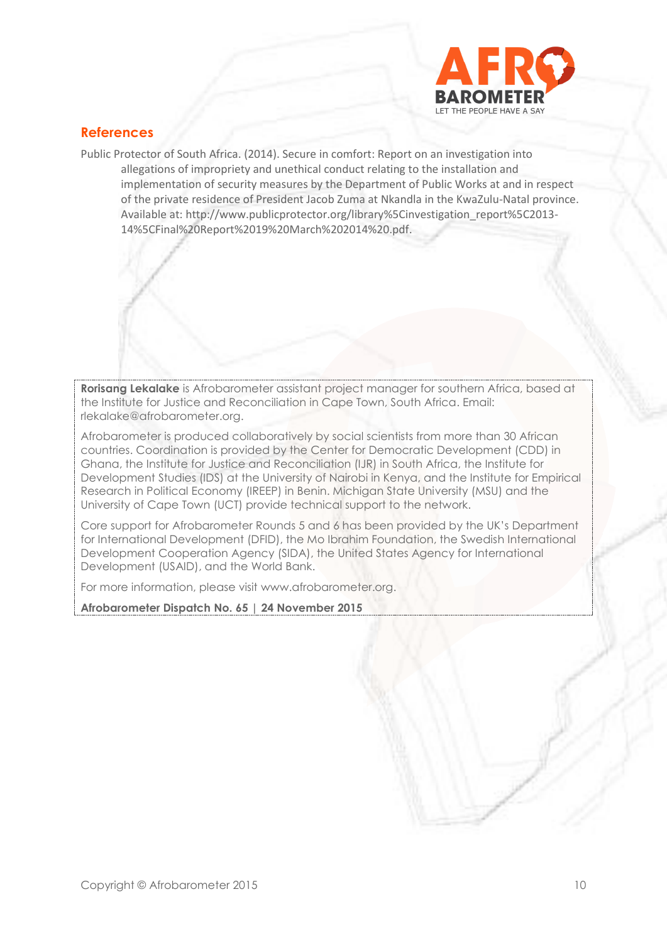

### **References**

Public Protector of South Africa. (2014). Secure in comfort: Report on an investigation into allegations of impropriety and unethical conduct relating to the installation and implementation of security measures by the Department of Public Works at and in respect of the private residence of President Jacob Zuma at Nkandla in the KwaZulu-Natal province. Available at[: http://www.publicprotector.org/library%5Cinvestigation\\_report%5C2013-](http://www.publicprotector.org/library%5Cinvestigation_report%5C2013-14%5CFinal%20Report%2019%20March%202014%20.pdf) [14%5CFinal%20Report%2019%20March%202014%20.pdf.](http://www.publicprotector.org/library%5Cinvestigation_report%5C2013-14%5CFinal%20Report%2019%20March%202014%20.pdf)

**Rorisang Lekalake** is Afrobarometer assistant project manager for southern Africa, based at the Institute for Justice and Reconciliation in Cape Town, South Africa. Email: [rlekalake@afrobarometer.org.](mailto:rlekalake@afrobarometer.org)

Afrobarometer is produced collaboratively by social scientists from more than 30 African countries. Coordination is provided by the Center for Democratic Development (CDD) in Ghana, the Institute for Justice and Reconciliation (IJR) in South Africa, the Institute for Development Studies (IDS) at the University of Nairobi in Kenya, and the Institute for Empirical Research in Political Economy (IREEP) in Benin. Michigan State University (MSU) and the University of Cape Town (UCT) provide technical support to the network.

Core support for Afrobarometer Rounds 5 and 6 has been provided by the UK's Department for International Development (DFID), the Mo Ibrahim Foundation, the Swedish International Development Cooperation Agency (SIDA), the United States Agency for International Development (USAID), and the World Bank.

For more information, please visit [www.afrobarometer.org.](http://www.afrobarometer.org/)

**Afrobarometer Dispatch No. 65 | 24 November 2015**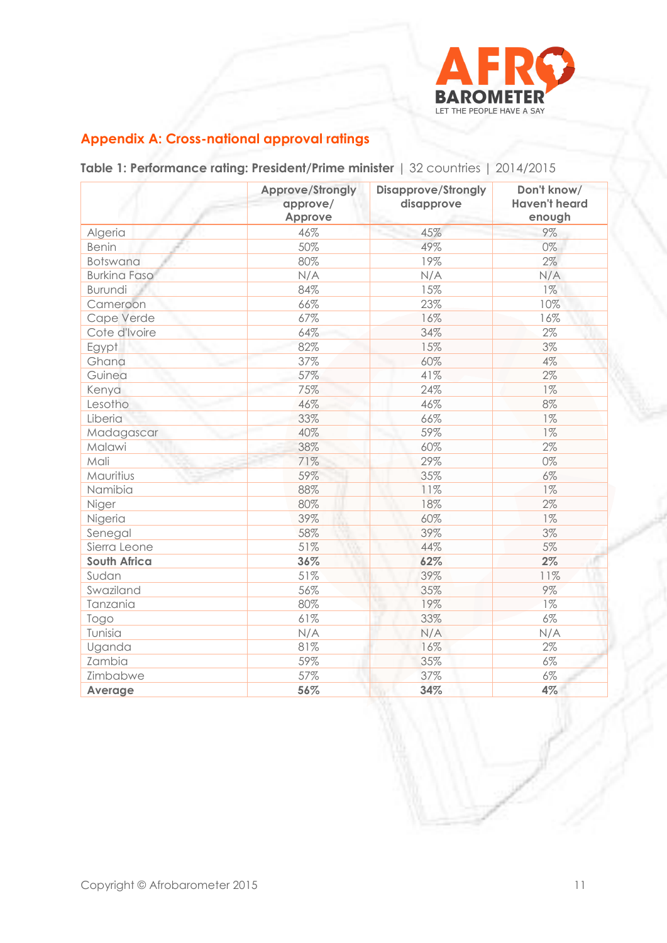

# **Appendix A: Cross-national approval ratings**

**Table 1: Performance rating: President/Prime minister** | 32 countries | 2014/2015

|                     | Approve/Strongly<br>approve/<br>Approve | <b>Disapprove/Strongly</b><br>disapprove | Don't know/<br><b>Haven't heard</b><br>enough |
|---------------------|-----------------------------------------|------------------------------------------|-----------------------------------------------|
| Algeria             | 46%                                     | 45%                                      | 9%                                            |
| <b>Benin</b>        | 50%                                     | 49%                                      | 0%                                            |
| <b>Botswana</b>     | 80%                                     | 19%                                      | 2%                                            |
| <b>Burkina Faso</b> | N/A                                     | N/A                                      | N/A                                           |
| <b>Burundi</b>      | 84%                                     | 15%                                      | $1\%$                                         |
| Cameroon            | 66%                                     | 23%                                      | 10%                                           |
| Cape Verde          | 67%                                     | 16%                                      | 16%                                           |
| Cote d'Ivoire       | 64%                                     | 34%                                      | 2%                                            |
| Egypt               | 82%                                     | 15%                                      | 3%                                            |
| Ghana               | 37%                                     | 60%                                      | 4%                                            |
| Guinea              | 57%                                     | 41%                                      | $2\%$                                         |
| Kenya               | 75%                                     | 24%                                      | $1\%$                                         |
| Lesotho             | 46%                                     | 46%                                      | 8%                                            |
| Liberia             | 33%                                     | 66%                                      | $1\%$                                         |
| Madagascar          | 40%                                     | 59%                                      | $1\%$                                         |
| Malawi              | 38%                                     | 60%                                      | 2%                                            |
| Mali                | 71%                                     | 29%                                      | 0%                                            |
| Mauritius           | 59%                                     | 35%                                      | 6%                                            |
| Namibia             | 88%                                     | 11%                                      | $1\%$                                         |
| Niger               | 80%                                     | 18%                                      | 2%                                            |
| Nigeria             | 39%                                     | 60%                                      | $1\%$                                         |
| Senegal             | 58%                                     | 39%                                      | 3%                                            |
| Sierra Leone        | 51%                                     | 44%                                      | 5%                                            |
| <b>South Africa</b> | 36%                                     | 62%                                      | 2%                                            |
| Sudan               | 51%                                     | 39%                                      | 11%                                           |
| Swaziland           | 56%                                     | 35%                                      | 9%                                            |
| Tanzania            | 80%                                     | u<br>19%                                 | $1\%$                                         |
| Togo                | 61%                                     | 33%                                      | $6\%$                                         |
| Tunisia             | N/A                                     | N/A                                      | N/A                                           |
| Uganda              | 81%                                     | 16%                                      | 2%                                            |
| Zambia              | 59%                                     | 35%                                      | $6\%$                                         |
| Zimbabwe            | 57%                                     | 37%                                      | 6%                                            |
| Average             | 56%                                     | 34%                                      | 4%                                            |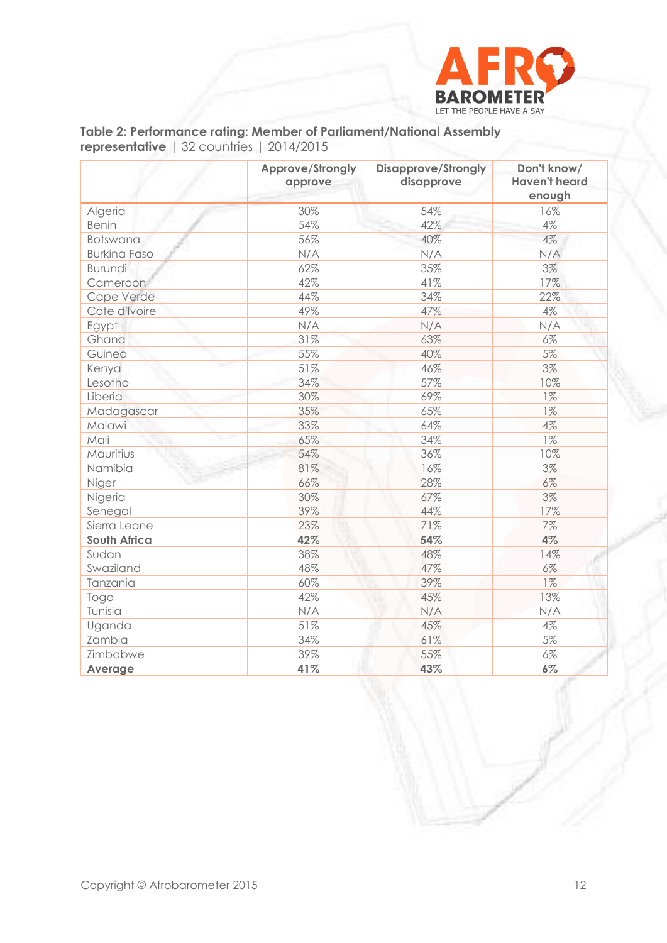

# **Table 2: Performance rating: Member of Parliament/National Assembly representative** | 32 countries | 2014/2015

|                     | Approve/Strongly<br>approve | <b>Disapprove/Strongly</b><br>disapprove | Don't know/<br><b>Haven't heard</b><br>enough |
|---------------------|-----------------------------|------------------------------------------|-----------------------------------------------|
| Algeria             | 30%                         | 54%                                      | 16%                                           |
| <b>Benin</b>        | 54%                         | 42%                                      | $4\%$                                         |
| Botswana            | 56%                         | 40%                                      | $4\%$                                         |
| <b>Burkina Faso</b> | N/A                         | N/A                                      | N/A                                           |
| <b>Burundi</b>      | 62%                         | 35%                                      | 3%                                            |
| Cameroon            | 42%                         | 41%                                      | 17%                                           |
| Cape Verde          | 44%                         | 34%                                      | 22%                                           |
| Cote d'Ivoire       | 49%                         | 47%                                      | 4%                                            |
| Egypt               | N/A                         | N/A                                      | N/A                                           |
| Ghana               | 31%                         | 63%                                      | 6%                                            |
| Guinea              | 55%                         | 40%                                      | $5\%$                                         |
| Kenya               | 51%                         | 46%                                      | 3%                                            |
| Lesotho             | 34%                         | 57%                                      | 10%                                           |
| Liberia             | 30%                         | 69%                                      | $1\%$                                         |
| Madagascar          | 35%                         | 65%                                      | $1\%$                                         |
| Malawi              | 33%                         | 64%                                      | 4%                                            |
| Mali                | 65%                         | 34%                                      | $1\%$                                         |
| Mauritius           | 54%                         | 36%                                      | 10%                                           |
| Namibia             | 81%                         | 16%                                      | 3%                                            |
| Niger               | 66%                         | 28%                                      | 6%                                            |
| Nigeria             | 30%                         | 67%                                      | 3%                                            |
| Senegal             | 39%                         | 44%                                      | 17%                                           |
| Sierra Leone        | 23%                         | 71%                                      | $7\%$                                         |
| <b>South Africa</b> | 42%                         | 54%                                      | 4%                                            |
| Sudan               | 38%                         | 48%                                      | 14%                                           |
| Swaziland           | 48%                         | 47%                                      | $6\%$                                         |
| Tanzania            | 60%                         | 39%                                      | $1\%$                                         |
| Togo                | 42%                         | 45%                                      | 13%                                           |
| Tunisia             | N/A                         | N/A                                      | N/A                                           |
| Uganda              | 51%                         | 45%                                      | $4\%$                                         |
| Zambia              | 34%                         | 61%                                      | 5%                                            |
| Zimbabwe            | 39%                         | 55%                                      | $6\%$                                         |
| Average             | 41%                         | 43%                                      | 6%                                            |

Copyright © Afrobarometer 2015 12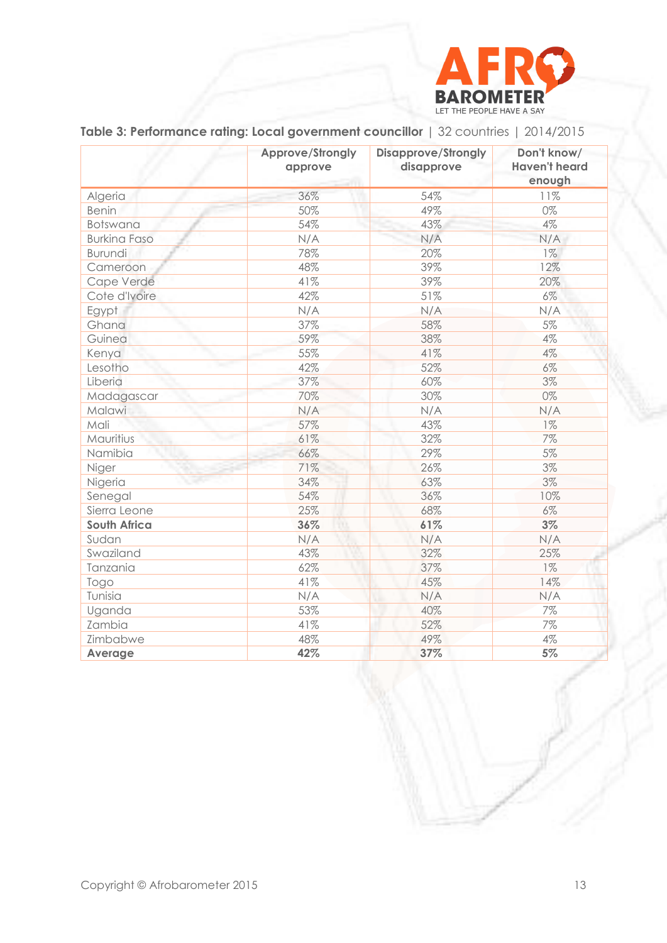

|                     | Approve/Strongly<br>approve | <b>Disapprove/Strongly</b><br>disapprove | Don't know/<br><b>Haven't heard</b><br>enough |
|---------------------|-----------------------------|------------------------------------------|-----------------------------------------------|
| Algeria             | 36%                         | 54%                                      | 11%                                           |
| <b>Benin</b>        | 50%                         | 49%                                      | 0%                                            |
| <b>Botswana</b>     | 54%                         | 43%                                      | 4%                                            |
| <b>Burkina Faso</b> | N/A                         | N/A                                      | N/A                                           |
| <b>Burundi</b>      | 78%                         | 20%                                      | $1\%$                                         |
| Cameroon            | 48%                         | 39%                                      | 12%                                           |
| Cape Verde          | 41%                         | 39%                                      | 20%                                           |
| Cote d'Ivoire       | 42%                         | 51%                                      | 6%                                            |
| Egypt               | N/A                         | N/A                                      | N/A                                           |
| Ghana               | 37%                         | 58%                                      | 5%                                            |
| Guinea              | 59%                         | 38%                                      | 4%                                            |
| Kenya               | 55%                         | 41%                                      | 4%                                            |
| Lesotho             | 42%                         | 52%                                      | $6\%$                                         |
| Liberia             | 37%                         | 60%                                      | 3%                                            |
| Madagascar          | 70%                         | 30%                                      | 0%                                            |
| Malawi              | N/A                         | N/A                                      | N/A                                           |
| Mali                | 57%                         | 43%                                      | $1\%$                                         |
| Mauritius           | 61%                         | 32%                                      | 7%                                            |
| Namibia             | 66%                         | 29%                                      | 5%                                            |
| Niger               | 71%                         | 26%                                      | 3%                                            |
| Nigeria             | 34%                         | 63%                                      | 3%                                            |
| Senegal             | 54%                         | 36%                                      | 10%                                           |
| Sierra Leone        | 25%                         | 68%                                      | $6\%$                                         |
| <b>South Africa</b> | 36%<br>m                    | 61%                                      | 3%                                            |
| Sudan               | N/A                         | N/A                                      | N/A                                           |
| Swaziland           | 43%                         | 32%                                      | 25%                                           |
| Tanzania            | 62%                         | 37%                                      | $1\%$                                         |
| Togo                | 41%                         | 45%                                      | 14%                                           |
| Tunisia             | N/A                         | N/A                                      | N/A                                           |
| Uganda              | 53%                         | 40%                                      | 7%                                            |
| Zambia              | 41%                         | 52%                                      | 7%                                            |
| Zimbabwe            | 48%                         | 49%                                      | 4%                                            |
| Average             | 42%                         | 37%                                      | 5%                                            |

# **Table 3: Performance rating: Local government councillor** | 32 countries | 2014/2015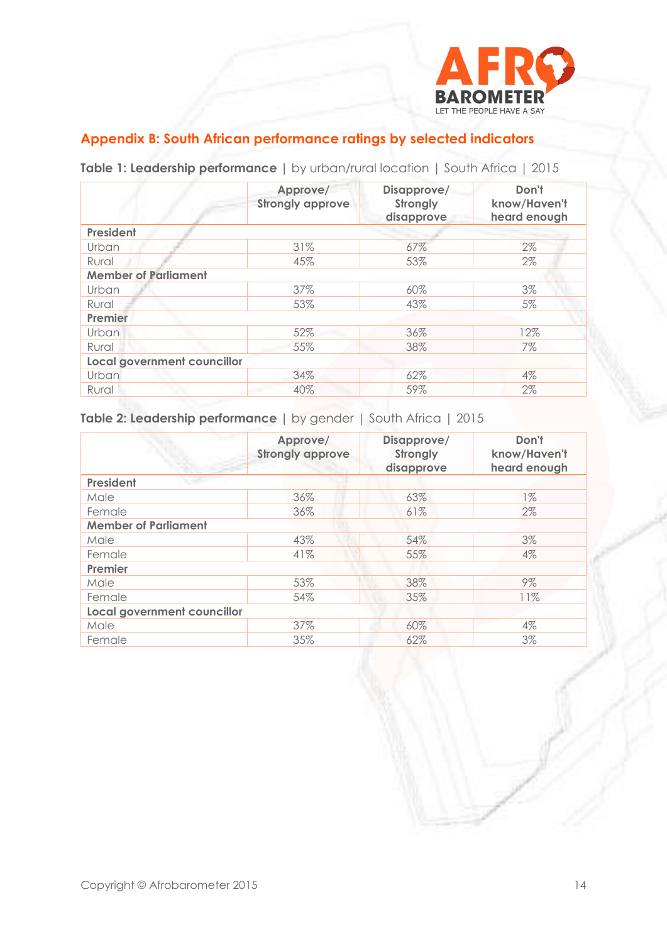

# **Appendix B: South African performance ratings by selected indicators**

|                                    | Approve/<br><b>Strongly approve</b> | Disapprove/<br>Strongly<br>disapprove | Don't<br>know/Haven't<br>heard enough |
|------------------------------------|-------------------------------------|---------------------------------------|---------------------------------------|
| President                          |                                     |                                       |                                       |
| Urban                              | 31%                                 | 67%                                   | 2%                                    |
| Rural                              | 45%                                 | 53%                                   | 2%                                    |
| <b>Member of Parliament</b>        |                                     |                                       |                                       |
| Urban                              | 37%                                 | 60%                                   | 3%                                    |
| Rural                              | 53%                                 | 43%                                   | 5%                                    |
| Premier                            |                                     |                                       |                                       |
| Urban                              | 52%                                 | 36%                                   | 12%                                   |
| Rural                              | 55%                                 | 38%                                   | 7%                                    |
| <b>Local government councillor</b> |                                     |                                       |                                       |
| Urban                              | 34%                                 | 62%                                   | $4\%$                                 |
| Rural                              | 40%                                 | 59%                                   | $2\%$                                 |
|                                    |                                     |                                       |                                       |

**Table 1: Leadership performance |** by urban/rural location | South Africa | 2015

**Table 2: Leadership performance |** by gender | South Africa | 2015

|                             | Approve/<br><b>Strongly approve</b> | Disapprove/<br>Strongly<br>disapprove | Don't<br>know/Haven't<br>heard enough |
|-----------------------------|-------------------------------------|---------------------------------------|---------------------------------------|
| <b>President</b>            |                                     |                                       |                                       |
| Male                        | 36%                                 | 63%                                   | $1\%$                                 |
| Female                      | 36%                                 | 61%                                   | $2\%$                                 |
| <b>Member of Parliament</b> |                                     |                                       |                                       |
| Male                        | 43%                                 | 54%                                   | 3%                                    |
| Female                      | 41%                                 | 55%                                   | $4\%$                                 |
| Premier                     |                                     |                                       |                                       |
| Male                        | 53%                                 | 38%                                   | $9\%$                                 |
| Female                      | 54%                                 | 35%                                   | 11%                                   |
| Local government councillor |                                     |                                       |                                       |
| Male                        | 37%                                 | 60%                                   | $4\%$                                 |
| Female                      | 35%                                 | 62%                                   | 3%                                    |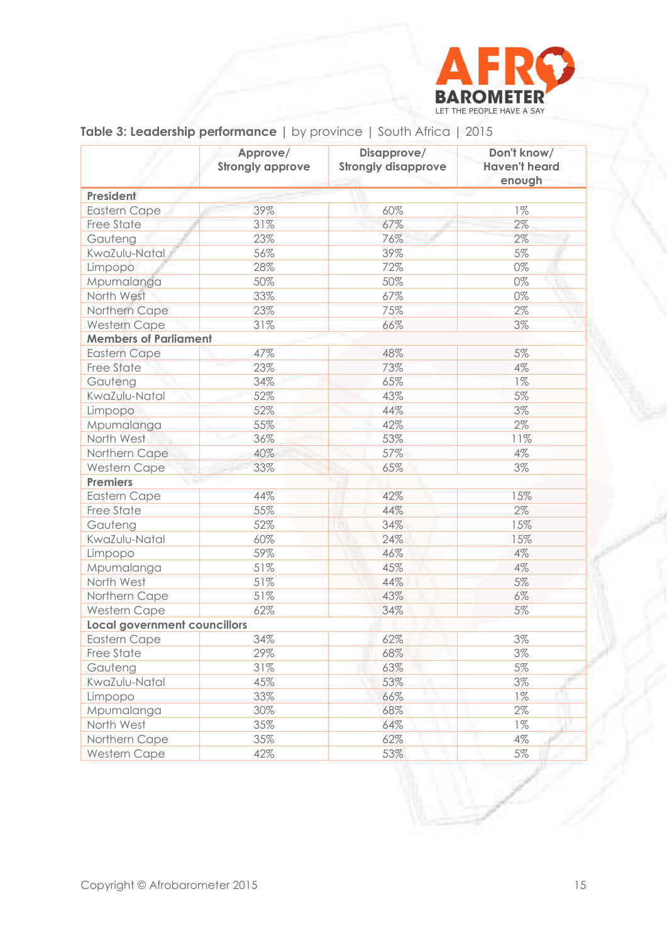

|                                     | Approve/<br><b>Strongly approve</b> | Disapprove/<br><b>Strongly disapprove</b> | Don't know/<br><b>Haven't heard</b><br>enough |
|-------------------------------------|-------------------------------------|-------------------------------------------|-----------------------------------------------|
| President                           |                                     |                                           |                                               |
| <b>Eastern Cape</b>                 | 39%                                 | 60%                                       | $1\%$                                         |
| Free State                          | 31%                                 | 67%                                       | $2\%$                                         |
| Gauteng                             | 23%                                 | 76%                                       | 2%                                            |
| KwaZulu-Natal                       | 56%                                 | 39%                                       | 5%                                            |
| Limpopo                             | 28%                                 | 72%                                       | $0\%$                                         |
| Mpumalanga                          | 50%                                 | 50%                                       | 0%                                            |
| North West                          | 33%                                 | 67%                                       | $0\%$                                         |
| Northern Cape                       | 23%                                 | 75%                                       | 2%                                            |
| <b>Western Cape</b>                 | 31%                                 | 66%                                       | 3%                                            |
| <b>Members of Parliament</b>        |                                     |                                           |                                               |
| <b>Eastern Cape</b>                 | 47%                                 | 48%                                       | 5%                                            |
| Free State                          | 23%                                 | 73%                                       | 4%                                            |
| Gauteng                             | 34%                                 | 65%                                       | $1\%$                                         |
| KwaZulu-Natal                       | 52%                                 | 43%                                       | $5\%$                                         |
| Limpopo                             | 52%                                 | 44%                                       | 3%                                            |
| Mpumalanga                          | 55%                                 | 42%                                       | 2%                                            |
| North West                          | 36%                                 | 53%                                       | 11%                                           |
| Northern Cape                       | 40%                                 | 57%                                       | 4%                                            |
| Western Cape                        | 33%                                 | 65%                                       | 3%                                            |
| <b>Premiers</b>                     |                                     |                                           |                                               |
| <b>Eastern Cape</b>                 | 44%                                 | 42%                                       | 15%                                           |
| Free State                          | 55%                                 | 44%                                       | $2\%$                                         |
| Gauteng                             | 52%                                 | 34%                                       | 15%                                           |
| KwaZulu-Natal                       | 60%                                 | 24%                                       | 15%                                           |
| Limpopo                             | 59%                                 | 46%                                       | 4%                                            |
| Mpumalanga                          | 51%                                 | 45%                                       | 4%                                            |
| North West                          | 51%                                 | 44%                                       | $5\%$                                         |
| Northern Cape                       | 51%                                 | 43%                                       | $6\%$                                         |
| Western Cape                        | 62%                                 | 34%                                       | 5%                                            |
| <b>Local government councillors</b> |                                     |                                           |                                               |
| <b>Eastern Cape</b>                 | 34%                                 | 62%                                       | 3%                                            |
| Free State                          | 29%                                 | 68%                                       | 3%                                            |
| Gauteng                             | 31%                                 | 63%                                       | 5%                                            |
| KwaZulu-Natal                       | 45%                                 | 53%                                       | 3%                                            |
| Limpopo                             | 33%                                 | 66%                                       | $1\%$                                         |
| Mpumalanga                          | 30%                                 | 68%                                       | $2\%$                                         |
| North West                          | 35%                                 | 64%                                       | $1\%$                                         |
| Northern Cape                       | 35%                                 | 62%                                       | $4\%$                                         |
| Western Cape                        | 42%                                 | 53%                                       | $5\%$                                         |

# **Table 3: Leadership performance |** by province | South Africa | 2015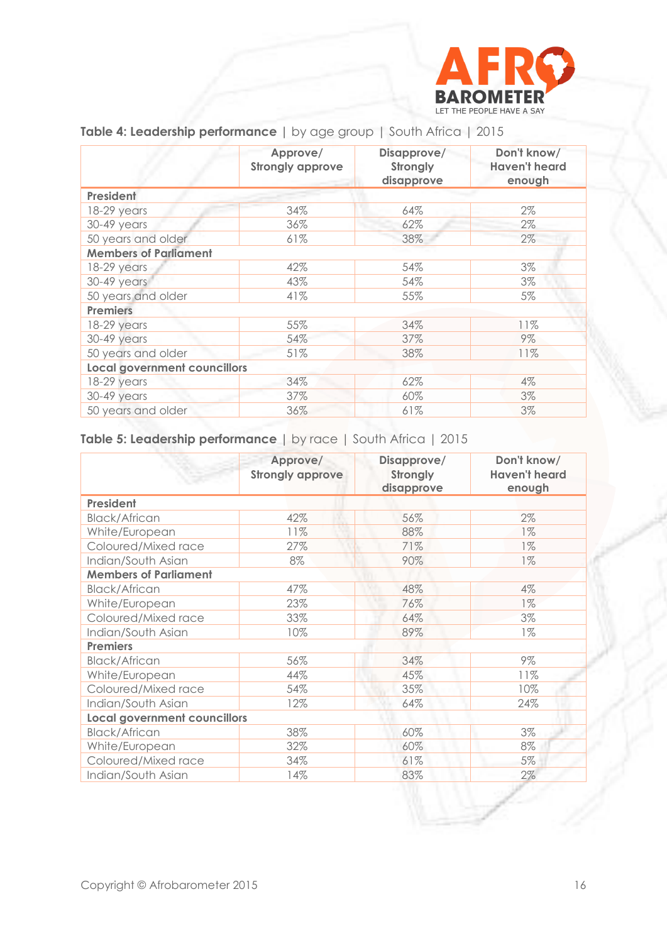

|                                     | Approve/<br><b>Strongly approve</b> | Disapprove/<br>Strongly<br>disapprove | Don't know/<br><b>Haven't heard</b><br>enough |
|-------------------------------------|-------------------------------------|---------------------------------------|-----------------------------------------------|
| President                           |                                     |                                       |                                               |
| 18-29 years                         | 34%                                 | 64%                                   | $2\%$                                         |
| 30-49 years                         | 36%                                 | 62%                                   | $2\%$                                         |
| 50 years and older                  | 61%                                 | 38%                                   | 2%                                            |
| <b>Members of Parliament</b>        |                                     |                                       |                                               |
| 18-29 years                         | 42%                                 | 54%                                   | 3%                                            |
| 30-49 years                         | 43%                                 | 54%                                   | 3%                                            |
| 50 years and older                  | 41%                                 | 55%                                   | $5\%$                                         |
| <b>Premiers</b>                     |                                     |                                       |                                               |
| 18-29 years                         | 55%                                 | 34%                                   | 11%                                           |
| 30-49 years                         | 54%                                 | 37%                                   | 9%                                            |
| 50 years and older                  | 51%                                 | 38%                                   | 11%                                           |
| <b>Local government councillors</b> |                                     |                                       |                                               |
| 18-29 years                         | 34%                                 | 62%                                   | $4\%$                                         |
| 30-49 years                         | 37%                                 | 60%                                   | 3%                                            |
| 50 years and older                  | 36%                                 | 61%                                   | 3%                                            |

**Table 4: Leadership performance |** by age group | South Africa | 2015

# **Table 5: Leadership performance |** by race | South Africa | 2015

|                                     | Approve/<br><b>Strongly approve</b> | Disapprove/<br>Strongly<br>disapprove | Don't know/<br><b>Haven't heard</b><br>enough |
|-------------------------------------|-------------------------------------|---------------------------------------|-----------------------------------------------|
| President                           |                                     |                                       |                                               |
| <b>Black/African</b>                | 42%                                 | 56%                                   | 2%                                            |
| White/European                      | 11%                                 | 88%                                   | $1\%$                                         |
| Coloured/Mixed race                 | 27%                                 | 71%                                   | $1\%$                                         |
| Indian/South Asian                  | 8%                                  | 90%                                   | $1\%$                                         |
| <b>Members of Parliament</b>        |                                     |                                       |                                               |
| <b>Black/African</b>                | 47%                                 | 48%                                   | 4%                                            |
| White/European                      | 23%                                 | 76%                                   | $1\%$                                         |
| Coloured/Mixed race                 | 33%                                 | 64%                                   | 3%                                            |
| Indian/South Asian                  | 10%                                 | 89%                                   | $1\%$                                         |
| <b>Premiers</b>                     |                                     |                                       |                                               |
| <b>Black/African</b>                | 56%                                 | 34%                                   | $9\%$                                         |
| White/European                      | 44%                                 | 45%                                   | 11%                                           |
| Coloured/Mixed race                 | 54%                                 | 35%                                   | 10%                                           |
| Indian/South Asian                  | 12%                                 | 64%                                   | 24%                                           |
| <b>Local government councillors</b> |                                     |                                       |                                               |
| <b>Black/African</b>                | 38%                                 | 60%                                   | 3%                                            |
| White/European                      | 32%                                 | 60%                                   | 8%                                            |
| Coloured/Mixed race                 | 34%                                 | 61%                                   | 5%                                            |
| Indian/South Asian                  | 14%                                 | 83%                                   | 2%                                            |